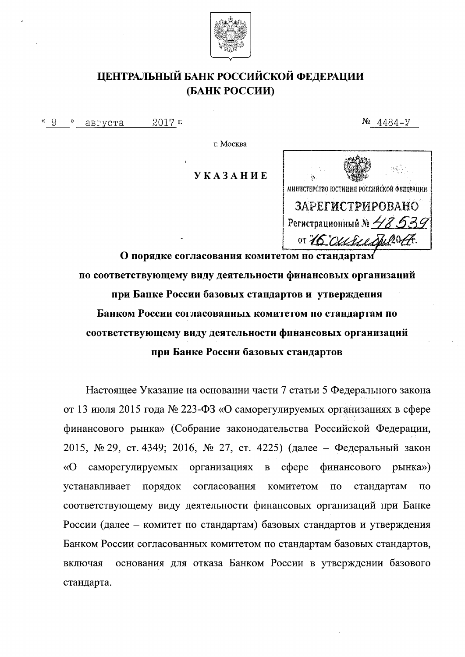

## ЦЕНТРАЛЬНЫЙ БАНК РОССИЙСКОЙ ФЕДЕРАЦИИ (БАНК РОССИИ)

2017 г.  $\frac{8}{9}$ августа

 $N_2$  4484-y

г. Москва

**YKA3AHHE** 



О порядке согласования комитетом по стандартам по соответствующему виду деятельности финансовых организаций при Банке России базовых стандартов и утверждения Банком России согласованных комитетом по стандартам по соответствующему виду деятельности финансовых организаций при Банке России базовых стандартов

Настоящее Указание на основании части 7 статьи 5 Федерального закона от 13 июля 2015 года № 223-ФЗ «О саморегулируемых организациях в сфере финансового рынка» (Собрание законодательства Российской Федерации, 2015, № 29, ст. 4349; 2016, № 27, ст. 4225) (далее – Федеральный закон «О саморегулируемых финансового организациях coepe  $\, {\bf B}$ рынка») устанавливает порядок согласования комитетом  $\overline{10}$ стандартам по соответствующему виду деятельности финансовых организаций при Банке России (далее – комитет по стандартам) базовых стандартов и утверждения Банком России согласованных комитетом по стандартам базовых стандартов, основания для отказа Банком России в утверждении базового включая стандарта.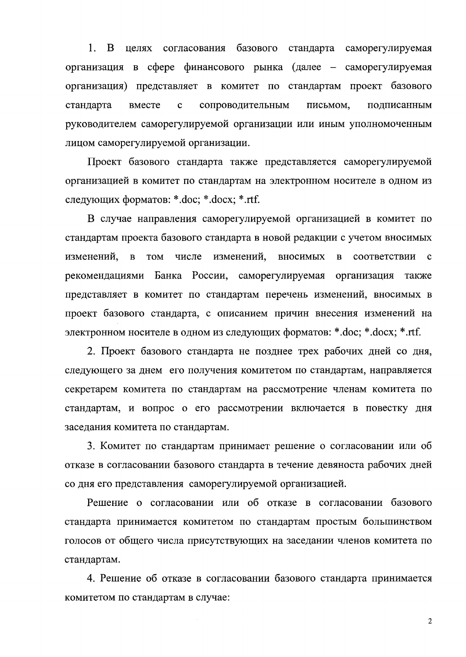1. В целях согласования базового стандарта саморегулируемая организация в сфере финансового рынка (далее – саморегулируемая организация) представляет в комитет по стандартам проект базового  $\mathbf{c}$ сопроводительным стандарта вместе письмом, подписанным руководителем саморегулируемой организации или иным уполномоченным лицом саморегулируемой организации.

Проект базового стандарта также представляется саморегулируемой организацией в комитет по стандартам на электронном носителе в одном из следующих форматов: \*.doc; \*.docx; \*.rtf.

В случае направления саморегулируемой организацией в комитет по стандартам проекта базового стандарта в новой редакции с учетом вносимых изменений, в **TOM** числе изменений, вносимых  $\mathbf{B}$ соответствии  $\mathbf{C}$ Банка России, саморегулируемая рекомендациями организация также представляет в комитет по стандартам перечень изменений, вносимых в проект базового стандарта, с описанием причин внесения изменений на электронном носителе в одном из следующих форматов: \*.doc; \*.docx; \*.rtf.

2. Проект базового стандарта не позднее трех рабочих дней со дня, следующего за днем его получения комитетом по стандартам, направляется секретарем комитета по стандартам на рассмотрение членам комитета по стандартам, и вопрос о его рассмотрении включается в повестку дня заседания комитета по стандартам.

3. Комитет по стандартам принимает решение о согласовании или об отказе в согласовании базового стандарта в течение девяноста рабочих дней со дня его представления саморегулируемой организацией.

Решение о согласовании или об отказе в согласовании базового стандарта принимается комитетом по стандартам простым большинством голосов от общего числа присутствующих на заседании членов комитета по стандартам.

4. Решение об отказе в согласовании базового стандарта принимается комитетом по стандартам в случае:

 $\overline{2}$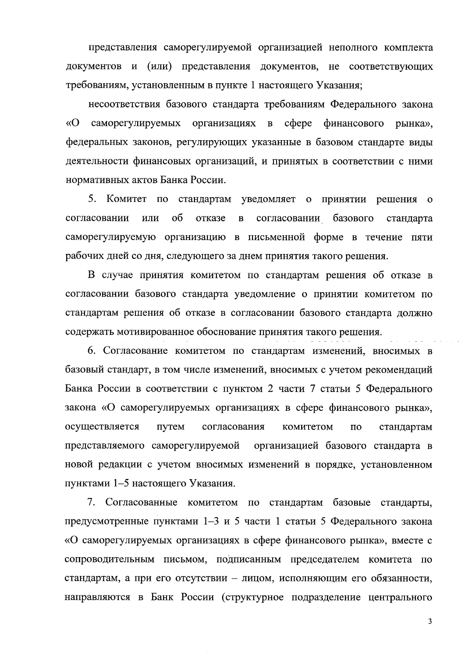представления саморегулируемой организацией неполного комплекта документов и (или) представления документов, не соответствующих требованиям, установленным в пункте 1 настоящего Указания;

несоответствия базового стандарта требованиям Федерального закона  $\langle \langle \mathbf{O} \rangle$ саморегулируемых организациях в  $c$  depe финансового рынка». федеральных законов, регулирующих указанные в базовом стандарте виды деятельности финансовых организаций, и принятых в соответствии с ними нормативных актов Банка России.

5. Комитет по стандартам уведомляет о принятии решения  $\overline{0}$  $0<sup>6</sup>$ согласовании или отказе согласовании базового  $\, {\bf B}$ стандарта саморегулируемую организацию в письменной форме в течение пяти рабочих дней со дня, следующего за днем принятия такого решения.

В случае принятия комитетом по стандартам решения об отказе в согласовании базового стандарта уведомление о принятии комитетом по стандартам решения об отказе в согласовании базового стандарта должно содержать мотивированное обоснование принятия такого решения.

6. Согласование комитетом по стандартам изменений, вносимых в базовый стандарт, в том числе изменений, вносимых с учетом рекомендаций Банка России в соответствии с пунктом 2 части 7 статьи 5 Федерального закона «О саморегулируемых организациях в сфере финансового рынка», осуществляется путем согласования комитетом  $\overline{10}$ стандартам представляемого саморегулируемой организацией базового стандарта в новой редакции с учетом вносимых изменений в порядке, установленном пунктами 1-5 настоящего Указания.

7. Согласованные комитетом по стандартам базовые стандарты, предусмотренные пунктами 1-3 и 5 части 1 статьи 5 Федерального закона «О саморегулируемых организациях в сфере финансового рынка», вместе с сопроводительным письмом, подписанным председателем комитета по стандартам, а при его отсутствии – лицом, исполняющим его обязанности, направляются в Банк России (структурное подразделение центрального

 $\overline{\mathbf{3}}$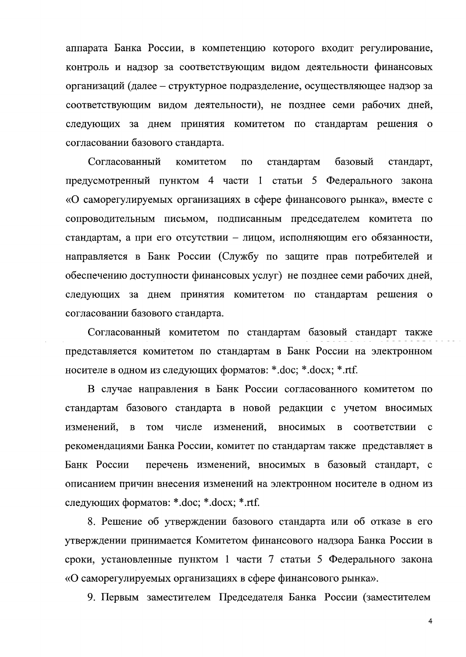аппарата Банка России, в компетенцию которого входит регулирование, контроль и надзор за соответствующим видом деятельности финансовых организаций (далее - структурное подразделение, осуществляющее надзор за соответствующим видом деятельности), не позднее семи рабочих дней, следующих за днем принятия комитетом по стандартам решения о согласовании базового стандарта.

Согласованный базовый комитетом  $\overline{a}$ стандартам стандарт, предусмотренный пунктом 4 части 1 статьи 5 Федерального закона «О саморегулируемых организациях в сфере финансового рынка», вместе с сопроводительным письмом, подписанным председателем комитета по стандартам, а при его отсутствии - лицом, исполняющим его обязанности, направляется в Банк России (Службу по защите прав потребителей и обеспечению доступности финансовых услуг) не позднее семи рабочих дней, следующих за днем принятия комитетом по стандартам решения о согласовании базового стандарта.

Согласованный комитетом по стандартам базовый стандарт также представляется комитетом по стандартам в Банк России на электронном носителе в одном из следующих форматов: \*.doc; \*.docx; \*.rtf.

В случае направления в Банк России согласованного комитетом по стандартам базового стандарта в новой редакции с учетом вносимых изменений,  $\overline{B}$ **TOM** числе изменений, вносимых  $\, {\bf B}$ соответствии  $\mathbf c$ рекомендациями Банка России, комитет по стандартам также представляет в Банк России перечень изменений, вносимых в базовый стандарт, с описанием причин внесения изменений на электронном носителе в одном из следующих форматов: \*.doc; \*.docx; \*.rtf.

8. Решение об утверждении базового стандарта или об отказе в его утверждении принимается Комитетом финансового надзора Банка России в сроки, установленные пунктом 1 части 7 статьи 5 Федерального закона «О саморегулируемых организациях в сфере финансового рынка».

9. Первым заместителем Председателя Банка России (заместителем

 $\overline{\mathbf{4}}$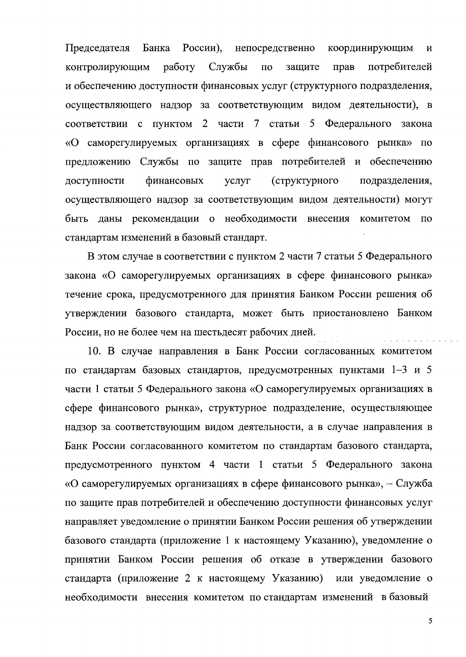Председателя Банка России), непосредственно координирующим  $\mathbf{M}$ контролирующим работу Службы  $\overline{a}$ потребителей защите прав и обеспечению доступности финансовых услуг (структурного подразделения, осуществляющего надзор за соответствующим видом деятельности), в соответствии с пунктом 2 части 7 статьи 5 Федерального закона «О саморегулируемых организациях в сфере финансового рынка» по предложению Службы по защите прав потребителей и обеспечению финансовых (структурного доступности услуг подразделения, осуществляющего надзор за соответствующим видом деятельности) могут быть даны рекомендации о необходимости внесения комитетом по стандартам изменений в базовый стандарт.

В этом случае в соответствии с пунктом 2 части 7 статьи 5 Федерального закона «О саморегулируемых организациях в сфере финансового рынка» течение срока, предусмотренного для принятия Банком России решения об утверждении базового стандарта, может быть приостановлено Банком России, но не более чем на шестьдесят рабочих дней.

10. В случае направления в Банк России согласованных комитетом по стандартам базовых стандартов, предусмотренных пунктами 1-3 и 5 части 1 статьи 5 Федерального закона «О саморегулируемых организациях в сфере финансового рынка», структурное подразделение, осуществляющее надзор за соответствующим видом деятельности, а в случае направления в Банк России согласованного комитетом по стандартам базового стандарта, предусмотренного пунктом 4 части 1 статьи 5 Федерального закона «О саморегулируемых организациях в сфере финансового рынка», - Служба по защите прав потребителей и обеспечению доступности финансовых услуг направляет уведомление о принятии Банком России решения об утверждении базового стандарта (приложение 1 к настоящему Указанию), уведомление о принятии Банком России решения об отказе в утверждении базового стандарта (приложение 2 к настоящему Указанию) или уведомление о необходимости внесения комитетом по стандартам изменений в базовый

5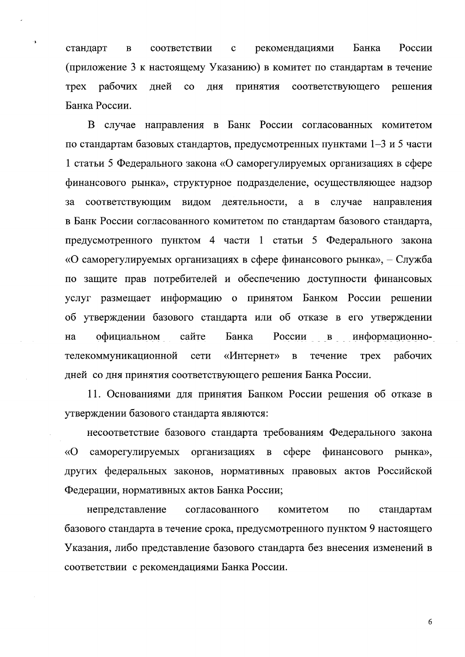России стандарт соответствии рекомендациями Банка  $\mathbf{B}$  $\mathbf{c}$ (приложение 3 к настоящему Указанию) в комитет по стандартам в течение рабочих  $\overline{c}$ **Tpex** лней дня принятия соответствующего решения Банка России.

٠,

В случае направления в Банк России согласованных комитетом по стандартам базовых стандартов, предусмотренных пунктами 1-3 и 5 части 1 статьи 5 Федерального закона «О саморегулируемых организациях в сфере финансового рынка», структурное подразделение, осуществляющее надзор соответствующим видом деятельности, а в случае направления за в Банк России согласованного комитетом по стандартам базового стандарта, предусмотренного пунктом 4 части 1 статьи 5 Федерального закона «О саморегулируемых организациях в сфере финансового рынка», – Служба по защите прав потребителей и обеспечению доступности финансовых услуг размещает информацию о принятом Банком России решении об утверждении базового стандарта или об отказе в его утверждении на официальном сайте Банка России в информационно-«Интернет» рабочих телекоммуникационной сети  $\, {\bf B}$ течение **Tpex** дней со дня принятия соответствующего решения Банка России.

11. Основаниями для принятия Банком России решения об отказе в утверждении базового стандарта являются:

несоответствие базового стандарта требованиям Федерального закона саморегулируемых организациях в сфере финансового  $\langle \langle \mathbf{O} \rangle$ рынка», других федеральных законов, нормативных правовых актов Российской Федерации, нормативных актов Банка России;

непредставление согласованного комитетом стандартам  $\Pi$ O базового стандарта в течение срока, предусмотренного пунктом 9 настоящего Указания, либо представление базового стандарта без внесения изменений в соответствии с рекомендациями Банка России.

6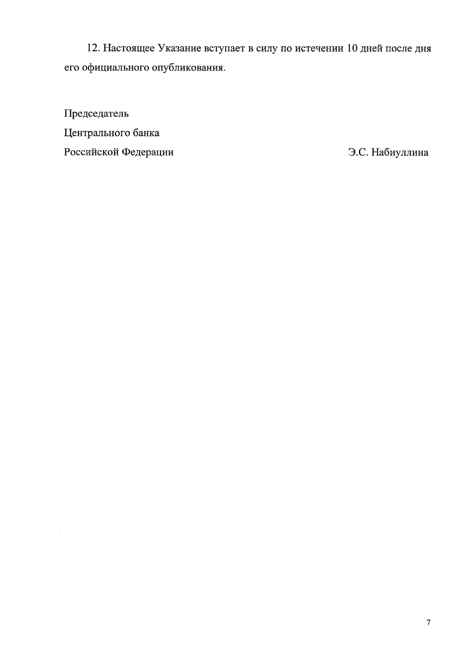12. Настоящее Указание вступает в силу по истечении 10 дней после дня его официального опубликования.

Председатель Центрального банка Российской Федерации

 $\bar{\bar{z}}$ 

Э.С. Набиуллина

 $\frac{1}{2}$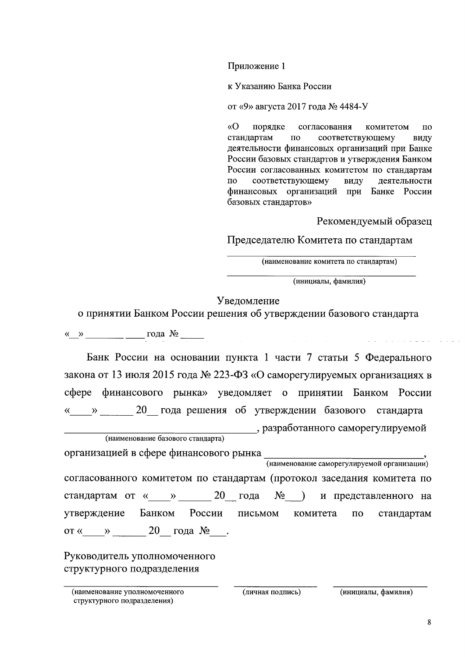Приложение 1

к Указанию Банка России

от «9» августа 2017 года № 4484-У

 $\sqrt{O}$ порядке согласования комитетом  $\overline{10}$ стандартам соответствующему  $\Pi$ O вилу деятельности финансовых организаций при Банке России базовых стандартов и утверждения Банком России согласованных комитетом по стандартам соответствующему виду деятельности  $\overline{10}$ финансовых организаций при Банке России базовых стандартов»

Рекомендуемый образец

Председателю Комитета по стандартам

(наименование комитета по стандартам)

(инициалы, фамилия)

## Уведомление

о принятии Банком России решения об утверждении базового стандарта

« $\rightarrow$   $\rightarrow$   $\rightarrow$   $\rightarrow$  года  $\mathbb{N}_{2}$ 

Банк России на основании пункта 1 части 7 статьи 5 Федерального закона от 13 июля 2015 года № 223-ФЗ «О саморегулируемых организациях в сфере финансового рынка» уведомляет о принятии Банком России « » 20 года решения об утверждении базового стандарта , разработанного саморегулируемой (наименование базового стандарта)

организацией в сфере финансового рынка (наименование саморегулируемой организации) согласованного комитетом по стандартам (протокол заседания комитета по

стандартам от « » 20 года  $N_2$  ) и представленного на России утверждение Банком письмом комитета  $\overline{a}$ стандартам от «  $\rightarrow$  20 года № .

Руководитель уполномоченного структурного подразделения

(наименование уполномоченного структурного подразделения)

(личная подпись)

(инициалы, фамилия)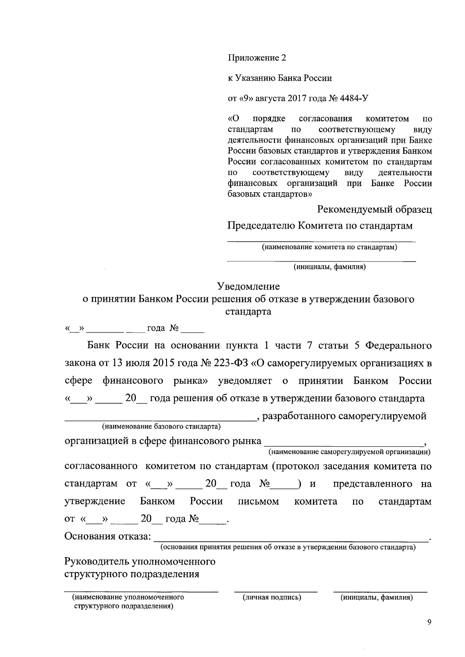Приложение 2

к Указанию Банка России

от «9» августа 2017 года № 4484-У

 $\langle \langle$ O порядке согласования комитетом  $\overline{10}$ стандартам по соответствующему виду деятельности финансовых организаций при Банке России базовых стандартов и утверждения Банком России согласованных комитетом по стандартам  $\overline{10}$ соответствующему виду деятельности финансовых организаций при Банке России базовых стандартов»

Рекомендуемый образец

Председателю Комитета по стандартам

(наименование комитета по стандартам)

(инициалы, фамилия)

## Уведомление

о принятии Банком России решения об отказе в утверждении базового стандарта

 $\langle \langle \rangle \rangle$  года  $\mathcal{N}_2$ 

Банк России на основании пункта 1 части 7 статьи 5 Федерального закона от 13 июля 2015 года № 223-ФЗ «О саморегулируемых организациях в сфере финансового рынка» уведомляет о принятии Банком России « » 20 года решения об отказе в утверждении базового стандарта

разработанного саморегулируемой

| (наименование базового стандарта)                                      |
|------------------------------------------------------------------------|
| организацией в сфере финансового рынка                                 |
| (наименование саморегулируемой организации)                            |
| согласованного комитетом по стандартам (протокол заседания комитета по |
| стандартам от « » 20 года $N_2$ ) и представленного на                 |
| утверждение Банком России письмом комитета по стандартам               |
| от « » 20 года $N_2$ .                                                 |
| Основания отказа:                                                      |

(основания принятия решения об отказе в утверждении базового стандарта)

Руководитель уполномоченного структурного подразделения

(инициалы, фамилия)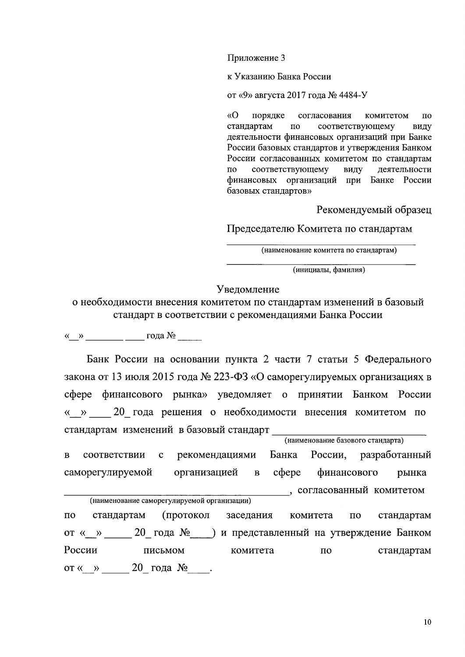Приложение 3

к Указанию Банка России

от «9» августа 2017 года № 4484-У

«O порядке согласования комитетом  $\overline{10}$ стандартам  $\overline{10}$ соответствующему виду деятельности финансовых организаций при Банке России базовых стандартов и утверждения Банком России согласованных комитетом по стандартам соответствующему виду деятельности  $\overline{a}$ финансовых организаций при Банке России базовых стандартов»

Рекомендуемый образец

Председателю Комитета по стандартам

(наименование комитета по стандартам)

(инициалы, фамилия)

Уведомление

о необходимости внесения комитетом по стандартам изменений в базовый стандарт в соответствии с рекомендациями Банка России

 $\langle \langle \rangle \rangle$  года № 1000 года № 1000 года № 1000 года № 1000 года № 1000 года № 1000 года № 1000 года № 1000 года № 1000 года № 1000 года № 1000 года № 1000 года № 1000 года № 1000 года № 1000 года № 1000 года № 1000 года

Банк России на основании пункта 2 части 7 статьи 5 Федерального закона от 13 июля 2015 года № 223-ФЗ «О саморегулируемых организациях в сфере финансового рынка» уведомляет о принятии Банком России « » 20 года решения о необходимости внесения комитетом по стандартам изменений в базовый стандарт (наименование базового стандарта)

 $\overline{B}$ соответствии  $\mathbf{c}$ рекомендациями Банка России, разработанный саморегулируемой организацией  $\mathbf{B}$  $c$  depe финансового рынка , согласованный комитетом (наименование саморегулируемой организации)  $\Pi{\bf O}$ стандартам (протокол заседания комитета по стандартам

от « » 20 года № ) и представленный на утверждение Банком России письмом комитета  $\Pi$ <sup>O</sup> стандартам от « » 20 года  $N_2$ .